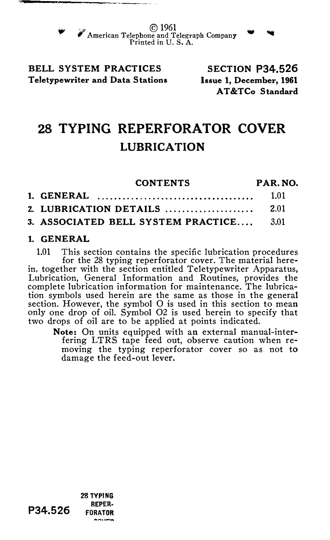© <sup>1961</sup> American Telephone and Telegraph Company<br>Printed in U.S.A.

### BELL SYSTEM PRACTICES Teletypewriter and Data Stations

SECTION P34.526 Issue 1, December, 1961 AT &TCo Standard

# 28 TYPING REPERFORATOR COVER LUBRICATION

| <b>CONTENTS</b>                         | PAR. NO. |
|-----------------------------------------|----------|
|                                         | 1.01     |
| 2. LUBRICATION DETAILS                  | 2.01     |
| 3. ASSOCIATED BELL SYSTEM PRACTICE 3.01 |          |

### 1. GENERAL

1.01 This section contains the specific lubrication procedures for the 28 typing reperforator cover. The material herein, together with the section entitled Teletypewriter Apparatus, Lubrication, General Information and Routines, provides the complete lubrication information for maintenance. The lubrication symbols used herein are the same as those in the general section. However, the symbol 0 is used in this section to mean only one drop of oil. Symbol 02 is used herein to specify that two drops of oil are to be applied at points indicated.

Note: On units equipped with an external manual-interfering LTRS tape feed out, observe caution when removing the typing reperforator cover so as not to damage the feed-out lever.

REPER· P34.526 **FORATOR AALIMA** 

28 TYPING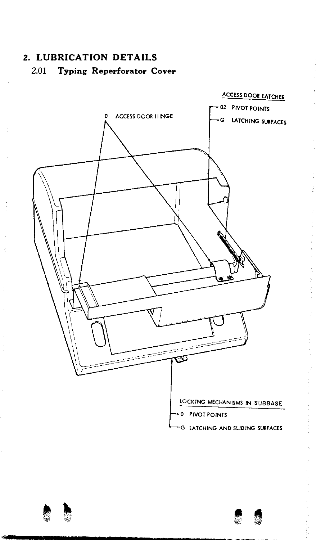## 2. LUBRICATION DETAILS 2.01 Typing Reperforator Cover

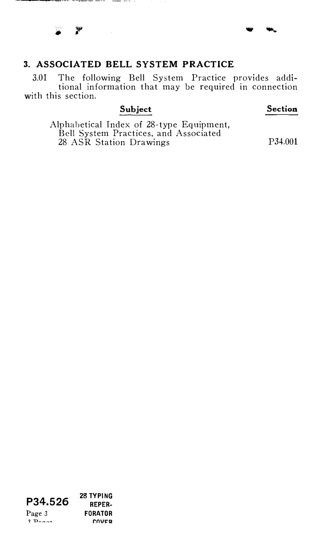### 3. ASSOCIATED BELL SYSTEM PRACTICE

3.01 The following Bell System Practice provides additional information that may be required in connection with this section.

### Subject

#### Section

Alphabetical Index of 28-type Equipment, Bell System Practices, and Associated 28 ASR Station Drawings P34.001

Page 3  $2.9<sub>0</sub>$ 

P34.526 <sup>28 TYPING</sup> REPER· **FORATOR** r:nVI='Q